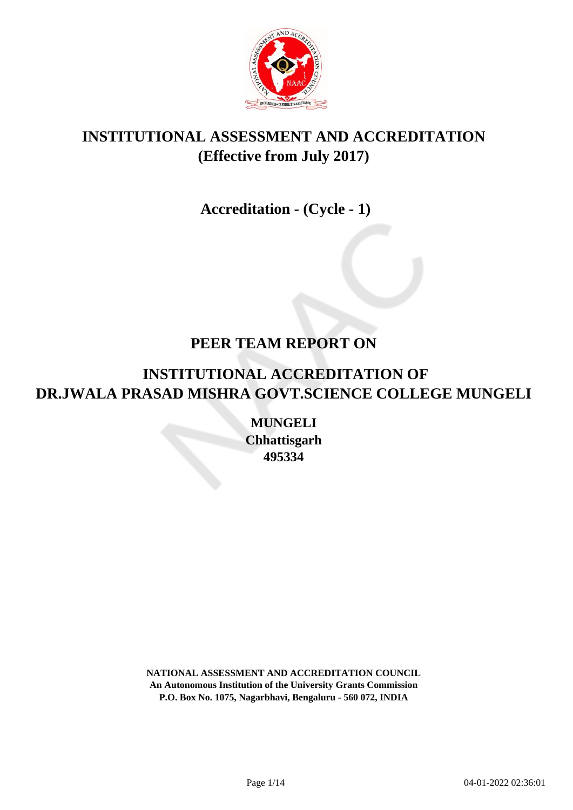

# **INSTITUTIONAL ASSESSMENT AND ACCREDITATION (Effective from July 2017)**

## **Accreditation - (Cycle - 1)**

### **PEER TEAM REPORT ON**

# **INSTITUTIONAL ACCREDITATION OF DR.JWALA PRASAD MISHRA GOVT.SCIENCE COLLEGE MUNGELI**

**MUNGELI Chhattisgarh 495334**

**NATIONAL ASSESSMENT AND ACCREDITATION COUNCIL An Autonomous Institution of the University Grants Commission P.O. Box No. 1075, Nagarbhavi, Bengaluru - 560 072, INDIA**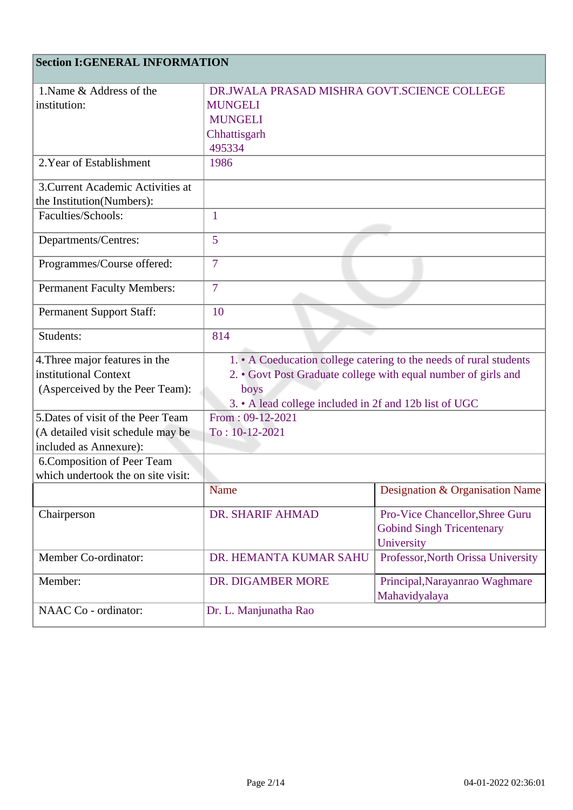### **Section I:GENERAL INFORMATION**

| 1. Name & Address of the           | DR.JWALA PRASAD MISHRA GOVT.SCIENCE COLLEGE                        |                                    |
|------------------------------------|--------------------------------------------------------------------|------------------------------------|
| institution:                       | <b>MUNGELI</b>                                                     |                                    |
|                                    | <b>MUNGELI</b>                                                     |                                    |
|                                    | Chhattisgarh                                                       |                                    |
|                                    | 495334                                                             |                                    |
| 2. Year of Establishment           | 1986                                                               |                                    |
| 3. Current Academic Activities at  |                                                                    |                                    |
| the Institution(Numbers):          |                                                                    |                                    |
| Faculties/Schools:                 | 1                                                                  |                                    |
|                                    |                                                                    |                                    |
| Departments/Centres:               | 5                                                                  |                                    |
| Programmes/Course offered:         | $\overline{7}$                                                     |                                    |
| <b>Permanent Faculty Members:</b>  | $\overline{7}$                                                     |                                    |
| <b>Permanent Support Staff:</b>    | 10                                                                 |                                    |
| Students:                          | 814                                                                |                                    |
| 4. Three major features in the     | 1. • A Coeducation college catering to the needs of rural students |                                    |
| institutional Context              | 2. • Govt Post Graduate college with equal number of girls and     |                                    |
| (Asperceived by the Peer Team):    | boys                                                               |                                    |
|                                    | 3. • A lead college included in 2f and 12b list of UGC             |                                    |
| 5. Dates of visit of the Peer Team | From: 09-12-2021                                                   |                                    |
| (A detailed visit schedule may be  | $To: 10-12-2021$                                                   |                                    |
| included as Annexure):             |                                                                    |                                    |
| 6. Composition of Peer Team        |                                                                    |                                    |
| which undertook the on site visit: |                                                                    |                                    |
|                                    | <b>Name</b>                                                        | Designation & Organisation Name    |
| Chairperson                        | DR. SHARIF AHMAD                                                   | Pro-Vice Chancellor, Shree Guru    |
|                                    |                                                                    | <b>Gobind Singh Tricentenary</b>   |
|                                    |                                                                    | University                         |
| Member Co-ordinator:               | DR. HEMANTA KUMAR SAHU                                             | Professor, North Orissa University |
| Member:                            | DR. DIGAMBER MORE                                                  | Principal, Narayanrao Waghmare     |
|                                    |                                                                    | Mahavidyalaya                      |
| NAAC Co - ordinator:               | Dr. L. Manjunatha Rao                                              |                                    |
|                                    |                                                                    |                                    |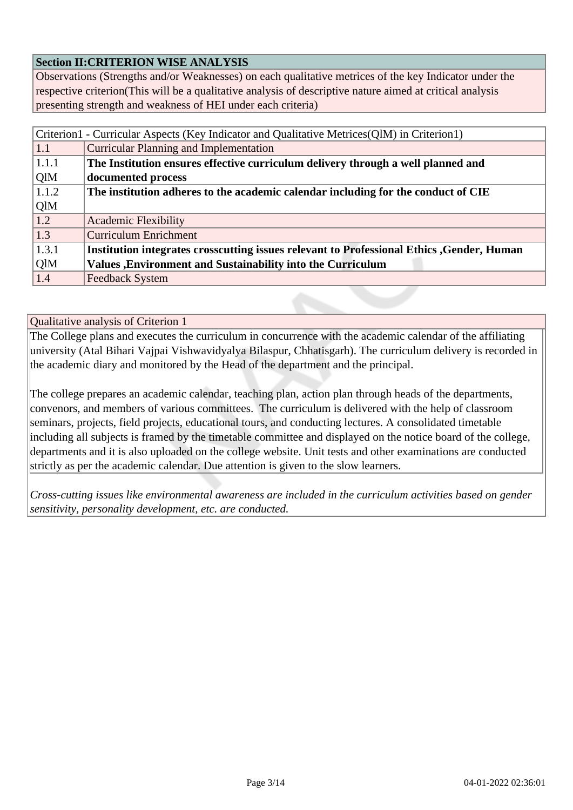### **Section II:CRITERION WISE ANALYSIS**

Observations (Strengths and/or Weaknesses) on each qualitative metrices of the key Indicator under the respective criterion(This will be a qualitative analysis of descriptive nature aimed at critical analysis presenting strength and weakness of HEI under each criteria)

| Criterion1 - Curricular Aspects (Key Indicator and Qualitative Metrices(QlM) in Criterion1) |                                                                                            |  |
|---------------------------------------------------------------------------------------------|--------------------------------------------------------------------------------------------|--|
| 1.1                                                                                         | <b>Curricular Planning and Implementation</b>                                              |  |
| 1.1.1                                                                                       | The Institution ensures effective curriculum delivery through a well planned and           |  |
| QlM                                                                                         | documented process                                                                         |  |
| 1.1.2                                                                                       | The institution adheres to the academic calendar including for the conduct of CIE          |  |
| QlM                                                                                         |                                                                                            |  |
| 1.2                                                                                         | <b>Academic Flexibility</b>                                                                |  |
| 1.3                                                                                         | <b>Curriculum Enrichment</b>                                                               |  |
| 1.3.1                                                                                       | Institution integrates crosscutting issues relevant to Professional Ethics , Gender, Human |  |
| QlM                                                                                         | <b>Values</b> , Environment and Sustainability into the Curriculum                         |  |
| 1.4                                                                                         | <b>Feedback System</b>                                                                     |  |

Qualitative analysis of Criterion 1

The College plans and executes the curriculum in concurrence with the academic calendar of the affiliating university (Atal Bihari Vajpai Vishwavidyalya Bilaspur, Chhatisgarh). The curriculum delivery is recorded in the academic diary and monitored by the Head of the department and the principal.

The college prepares an academic calendar, teaching plan, action plan through heads of the departments, convenors, and members of various committees. The curriculum is delivered with the help of classroom seminars, projects, field projects, educational tours, and conducting lectures. A consolidated timetable including all subjects is framed by the timetable committee and displayed on the notice board of the college, departments and it is also uploaded on the college website. Unit tests and other examinations are conducted strictly as per the academic calendar. Due attention is given to the slow learners.

*Cross-cutting issues like environmental awareness are included in the curriculum activities based on gender sensitivity, personality development, etc. are conducted.*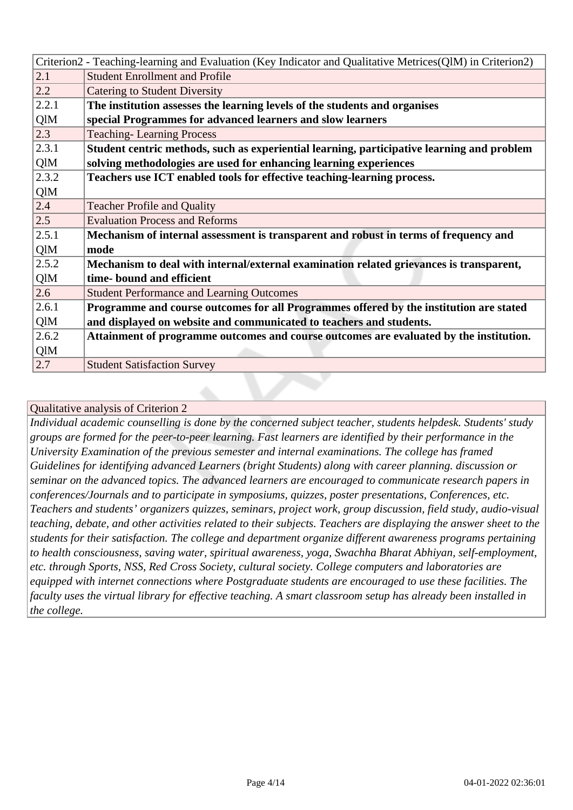| Criterion2 - Teaching-learning and Evaluation (Key Indicator and Qualitative Metrices(QlM) in Criterion2) |  |  |
|-----------------------------------------------------------------------------------------------------------|--|--|
| <b>Student Enrollment and Profile</b><br>2.1                                                              |  |  |
| 2.2<br><b>Catering to Student Diversity</b>                                                               |  |  |
| 2.2.1<br>The institution assesses the learning levels of the students and organises                       |  |  |
| QlM<br>special Programmes for advanced learners and slow learners                                         |  |  |
| 2.3<br><b>Teaching-Learning Process</b>                                                                   |  |  |
| 2.3.1<br>Student centric methods, such as experiential learning, participative learning and problem       |  |  |
| QlM<br>solving methodologies are used for enhancing learning experiences                                  |  |  |
| 2.3.2<br>Teachers use ICT enabled tools for effective teaching-learning process.                          |  |  |
| QlM                                                                                                       |  |  |
| 2.4<br><b>Teacher Profile and Quality</b>                                                                 |  |  |
| 2.5<br><b>Evaluation Process and Reforms</b>                                                              |  |  |
| 2.5.1<br>Mechanism of internal assessment is transparent and robust in terms of frequency and             |  |  |
| QlM<br>mode                                                                                               |  |  |
| 2.5.2<br>Mechanism to deal with internal/external examination related grievances is transparent,          |  |  |
| QlM<br>time-bound and efficient                                                                           |  |  |
| 2.6<br><b>Student Performance and Learning Outcomes</b>                                                   |  |  |
| Programme and course outcomes for all Programmes offered by the institution are stated<br>2.6.1           |  |  |
| QlM<br>and displayed on website and communicated to teachers and students.                                |  |  |
| 2.6.2<br>Attainment of programme outcomes and course outcomes are evaluated by the institution.           |  |  |
| QlM                                                                                                       |  |  |
| 2.7<br><b>Student Satisfaction Survey</b>                                                                 |  |  |

*Individual academic counselling is done by the concerned subject teacher, students helpdesk. Students' study groups are formed for the peer-to-peer learning. Fast learners are identified by their performance in the University Examination of the previous semester and internal examinations. The college has framed Guidelines for identifying advanced Learners (bright Students) along with career planning. discussion or seminar on the advanced topics. The advanced learners are encouraged to communicate research papers in conferences/Journals and to participate in symposiums, quizzes, poster presentations, Conferences, etc. Teachers and students' organizers quizzes, seminars, project work, group discussion, field study, audio-visual teaching, debate, and other activities related to their subjects. Teachers are displaying the answer sheet to the students for their satisfaction. The college and department organize different awareness programs pertaining to health consciousness, saving water, spiritual awareness, yoga, Swachha Bharat Abhiyan, self-employment, etc. through Sports, NSS, Red Cross Society, cultural society. College computers and laboratories are equipped with internet connections where Postgraduate students are encouraged to use these facilities. The faculty uses the virtual library for effective teaching. A smart classroom setup has already been installed in the college.*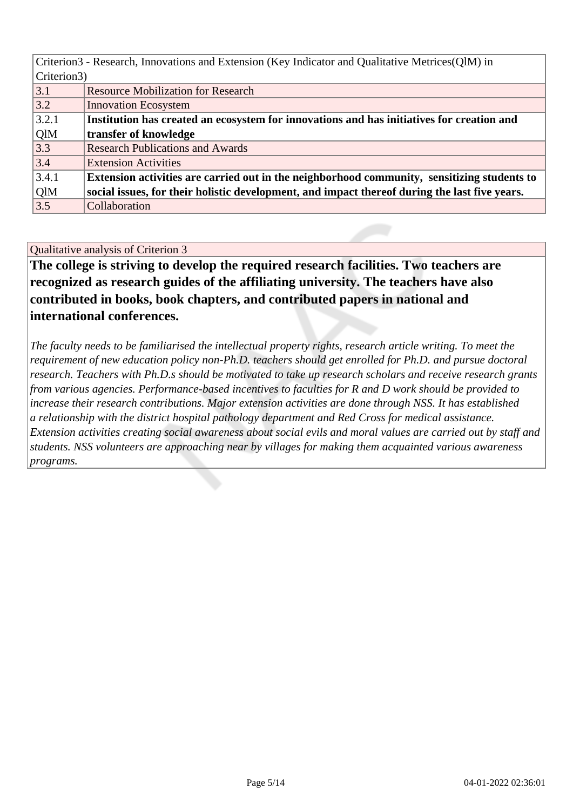| Criterion3 - Research, Innovations and Extension (Key Indicator and Qualitative Metrices (QIM) in |                                                                                               |  |  |
|---------------------------------------------------------------------------------------------------|-----------------------------------------------------------------------------------------------|--|--|
|                                                                                                   | Criterion3)                                                                                   |  |  |
| 3.1                                                                                               | <b>Resource Mobilization for Research</b>                                                     |  |  |
| 3.2                                                                                               | <b>Innovation Ecosystem</b>                                                                   |  |  |
| 3.2.1                                                                                             | Institution has created an ecosystem for innovations and has initiatives for creation and     |  |  |
| QlM                                                                                               | transfer of knowledge                                                                         |  |  |
| 3.3                                                                                               | <b>Research Publications and Awards</b>                                                       |  |  |
| 3.4                                                                                               | <b>Extension Activities</b>                                                                   |  |  |
| 3.4.1                                                                                             | Extension activities are carried out in the neighborhood community, sensitizing students to   |  |  |
| QlM                                                                                               | social issues, for their holistic development, and impact thereof during the last five years. |  |  |
| 3.5                                                                                               | Collaboration                                                                                 |  |  |

**The college is striving to develop the required research facilities. Two teachers are recognized as research guides of the affiliating university. The teachers have also contributed in books, book chapters, and contributed papers in national and international conferences.**

*The faculty needs to be familiarised the intellectual property rights, research article writing. To meet the requirement of new education policy non-Ph.D. teachers should get enrolled for Ph.D. and pursue doctoral research. Teachers with Ph.D.s should be motivated to take up research scholars and receive research grants from various agencies. Performance-based incentives to faculties for R and D work should be provided to increase their research contributions. Major extension activities are done through NSS. It has established a relationship with the district hospital pathology department and Red Cross for medical assistance. Extension activities creating social awareness about social evils and moral values are carried out by staff and students. NSS volunteers are approaching near by villages for making them acquainted various awareness programs.*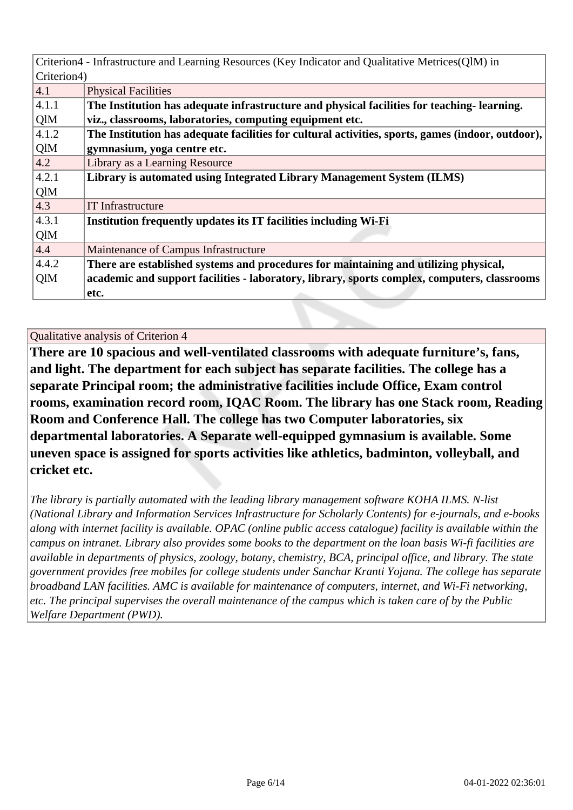|               | Criterion4 - Infrastructure and Learning Resources (Key Indicator and Qualitative Metrices(QlM) in |  |  |
|---------------|----------------------------------------------------------------------------------------------------|--|--|
| Criterion4)   |                                                                                                    |  |  |
| 4.1           | <b>Physical Facilities</b>                                                                         |  |  |
| 4.1.1         | The Institution has adequate infrastructure and physical facilities for teaching-learning.         |  |  |
| QlM           | viz., classrooms, laboratories, computing equipment etc.                                           |  |  |
| 4.1.2         | The Institution has adequate facilities for cultural activities, sports, games (indoor, outdoor),  |  |  |
| QlM           | gymnasium, yoga centre etc.                                                                        |  |  |
| 4.2           | Library as a Learning Resource                                                                     |  |  |
| 4.2.1         | Library is automated using Integrated Library Management System (ILMS)                             |  |  |
| QlM           |                                                                                                    |  |  |
| $ 4.3\rangle$ | <b>IT</b> Infrastructure                                                                           |  |  |
| 4.3.1         | Institution frequently updates its IT facilities including Wi-Fi                                   |  |  |
| QlM           |                                                                                                    |  |  |
| 4.4           | Maintenance of Campus Infrastructure                                                               |  |  |
| 4.4.2         | There are established systems and procedures for maintaining and utilizing physical,               |  |  |
| QlM           | academic and support facilities - laboratory, library, sports complex, computers, classrooms       |  |  |
|               | etc.                                                                                               |  |  |

**There are 10 spacious and well-ventilated classrooms with adequate furniture's, fans, and light. The department for each subject has separate facilities. The college has a separate Principal room; the administrative facilities include Office, Exam control rooms, examination record room, IQAC Room. The library has one Stack room, Reading Room and Conference Hall. The college has two Computer laboratories, six departmental laboratories. A Separate well-equipped gymnasium is available. Some uneven space is assigned for sports activities like athletics, badminton, volleyball, and cricket etc.**

*The library is partially automated with the leading library management software KOHA ILMS. N-list (National Library and Information Services Infrastructure for Scholarly Contents) for e-journals, and e-books along with internet facility is available. OPAC (online public access catalogue) facility is available within the campus on intranet. Library also provides some books to the department on the loan basis Wi-fi facilities are available in departments of physics, zoology, botany, chemistry, BCA, principal office, and library. The state government provides free mobiles for college students under Sanchar Kranti Yojana. The college has separate broadband LAN facilities. AMC is available for maintenance of computers, internet, and Wi-Fi networking, etc. The principal supervises the overall maintenance of the campus which is taken care of by the Public Welfare Department (PWD).*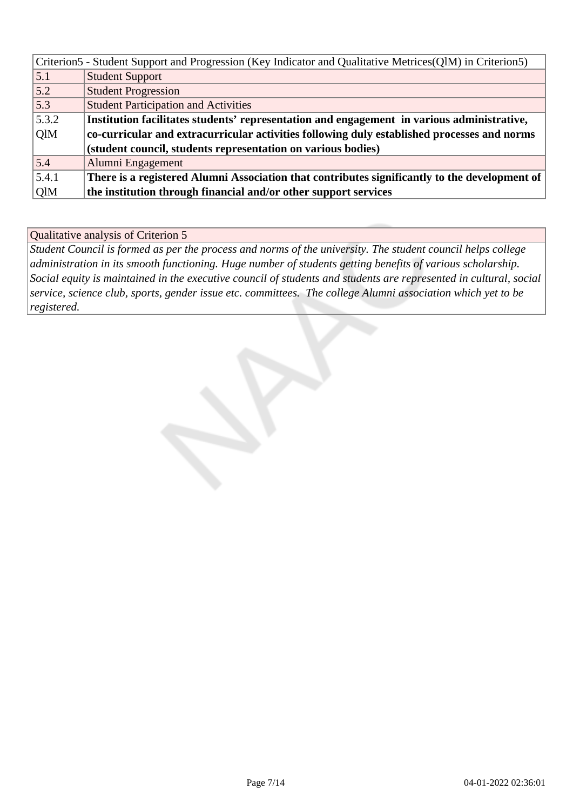|       | Criterion5 - Student Support and Progression (Key Indicator and Qualitative Metrices(QlM) in Criterion5) |
|-------|----------------------------------------------------------------------------------------------------------|
| 5.1   | <b>Student Support</b>                                                                                   |
| 5.2   | <b>Student Progression</b>                                                                               |
| 5.3   | <b>Student Participation and Activities</b>                                                              |
| 5.3.2 | Institution facilitates students' representation and engagement in various administrative,               |
| QlM   | co-curricular and extracurricular activities following duly established processes and norms              |
|       | (student council, students representation on various bodies)                                             |
| 5.4   | Alumni Engagement                                                                                        |
| 5.4.1 | There is a registered Alumni Association that contributes significantly to the development of            |
| QlM   | the institution through financial and/or other support services                                          |

*Student Council is formed as per the process and norms of the university. The student council helps college administration in its smooth functioning. Huge number of students getting benefits of various scholarship. Social equity is maintained in the executive council of students and students are represented in cultural, social service, science club, sports, gender issue etc. committees. The college Alumni association which yet to be registered.*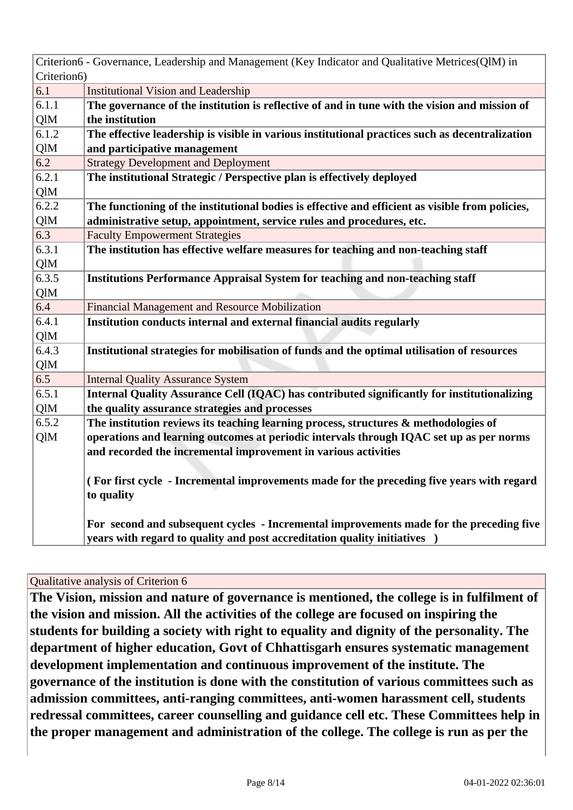|             | Criterion6 - Governance, Leadership and Management (Key Indicator and Qualitative Metrices(QlM) in |  |  |
|-------------|----------------------------------------------------------------------------------------------------|--|--|
| Criterion6) |                                                                                                    |  |  |
| 6.1         | <b>Institutional Vision and Leadership</b>                                                         |  |  |
| 6.1.1       | The governance of the institution is reflective of and in tune with the vision and mission of      |  |  |
| QlM         | the institution                                                                                    |  |  |
| 6.1.2       | The effective leadership is visible in various institutional practices such as decentralization    |  |  |
| QlM         | and participative management                                                                       |  |  |
| 6.2         | <b>Strategy Development and Deployment</b>                                                         |  |  |
| 6.2.1       | The institutional Strategic / Perspective plan is effectively deployed                             |  |  |
| QlM         |                                                                                                    |  |  |
| 6.2.2       | The functioning of the institutional bodies is effective and efficient as visible from policies,   |  |  |
| QlM         | administrative setup, appointment, service rules and procedures, etc.                              |  |  |
| 6.3         | <b>Faculty Empowerment Strategies</b>                                                              |  |  |
| 6.3.1       | The institution has effective welfare measures for teaching and non-teaching staff                 |  |  |
| QlM         |                                                                                                    |  |  |
| 6.3.5       | <b>Institutions Performance Appraisal System for teaching and non-teaching staff</b>               |  |  |
| QlM         |                                                                                                    |  |  |
| 6.4         | <b>Financial Management and Resource Mobilization</b>                                              |  |  |
| 6.4.1       | Institution conducts internal and external financial audits regularly                              |  |  |
| QlM         |                                                                                                    |  |  |
| 6.4.3       | Institutional strategies for mobilisation of funds and the optimal utilisation of resources        |  |  |
| QlM         |                                                                                                    |  |  |
| 6.5         | <b>Internal Quality Assurance System</b>                                                           |  |  |
| 6.5.1       | Internal Quality Assurance Cell (IQAC) has contributed significantly for institutionalizing        |  |  |
| QlM         | the quality assurance strategies and processes                                                     |  |  |
| 6.5.2       | The institution reviews its teaching learning process, structures $\&$ methodologies of            |  |  |
| QlM         | operations and learning outcomes at periodic intervals through IQAC set up as per norms            |  |  |
|             | and recorded the incremental improvement in various activities                                     |  |  |
|             |                                                                                                    |  |  |
|             | (For first cycle - Incremental improvements made for the preceding five years with regard          |  |  |
|             | to quality                                                                                         |  |  |
|             |                                                                                                    |  |  |
|             | For second and subsequent cycles - Incremental improvements made for the preceding five            |  |  |
|             | years with regard to quality and post accreditation quality initiatives )                          |  |  |

**The Vision, mission and nature of governance is mentioned, the college is in fulfilment of the vision and mission. All the activities of the college are focused on inspiring the students for building a society with right to equality and dignity of the personality. The department of higher education, Govt of Chhattisgarh ensures systematic management development implementation and continuous improvement of the institute. The governance of the institution is done with the constitution of various committees such as admission committees, anti-ranging committees, anti-women harassment cell, students redressal committees, career counselling and guidance cell etc. These Committees help in the proper management and administration of the college. The college is run as per the**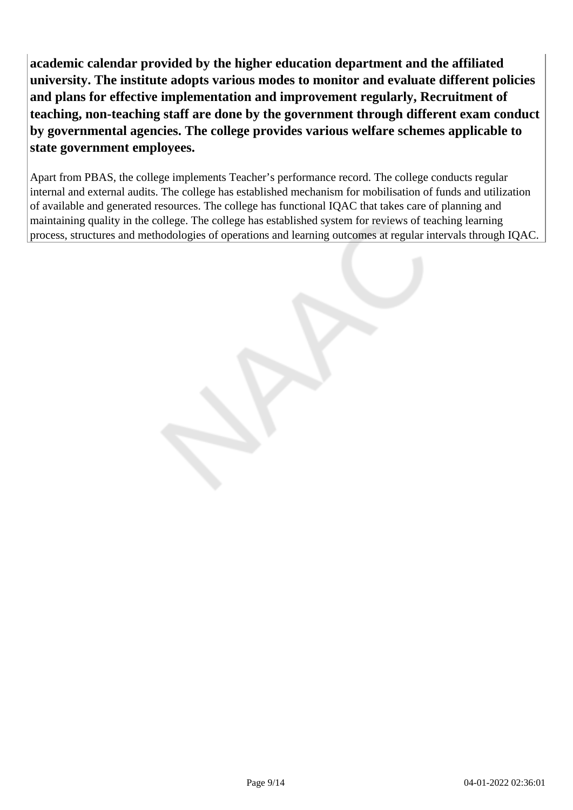**academic calendar provided by the higher education department and the affiliated university. The institute adopts various modes to monitor and evaluate different policies and plans for effective implementation and improvement regularly, Recruitment of teaching, non-teaching staff are done by the government through different exam conduct by governmental agencies. The college provides various welfare schemes applicable to state government employees.**

Apart from PBAS, the college implements Teacher's performance record. The college conducts regular internal and external audits. The college has established mechanism for mobilisation of funds and utilization of available and generated resources. The college has functional IQAC that takes care of planning and maintaining quality in the college. The college has established system for reviews of teaching learning process, structures and methodologies of operations and learning outcomes at regular intervals through IQAC.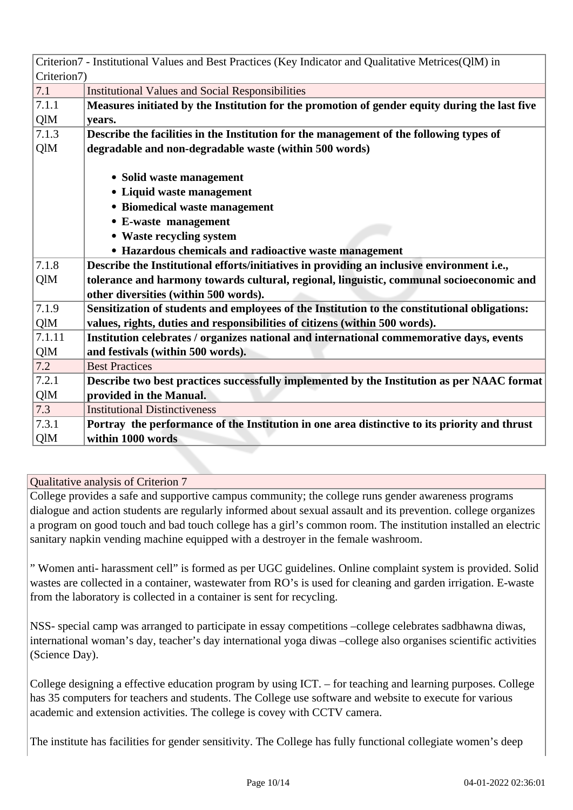|             | Criterion7 - Institutional Values and Best Practices (Key Indicator and Qualitative Metrices(QlM) in |  |  |
|-------------|------------------------------------------------------------------------------------------------------|--|--|
| Criterion7) |                                                                                                      |  |  |
| 7.1         | <b>Institutional Values and Social Responsibilities</b>                                              |  |  |
| 7.1.1       | Measures initiated by the Institution for the promotion of gender equity during the last five        |  |  |
| QlM         | years.                                                                                               |  |  |
| 7.1.3       | Describe the facilities in the Institution for the management of the following types of              |  |  |
| QlM         | degradable and non-degradable waste (within 500 words)                                               |  |  |
|             |                                                                                                      |  |  |
|             | • Solid waste management                                                                             |  |  |
|             | • Liquid waste management                                                                            |  |  |
|             | • Biomedical waste management                                                                        |  |  |
|             | • E-waste management                                                                                 |  |  |
|             | • Waste recycling system                                                                             |  |  |
|             | • Hazardous chemicals and radioactive waste management                                               |  |  |
| 7.1.8       | Describe the Institutional efforts/initiatives in providing an inclusive environment i.e.,           |  |  |
| QlM         | tolerance and harmony towards cultural, regional, linguistic, communal socioeconomic and             |  |  |
|             | other diversities (within 500 words).                                                                |  |  |
| 7.1.9       | Sensitization of students and employees of the Institution to the constitutional obligations:        |  |  |
| QlM         | values, rights, duties and responsibilities of citizens (within 500 words).                          |  |  |
| 7.1.11      | Institution celebrates / organizes national and international commemorative days, events             |  |  |
| QlM         | and festivals (within 500 words).                                                                    |  |  |
| 7.2         | <b>Best Practices</b>                                                                                |  |  |
| 7.2.1       | Describe two best practices successfully implemented by the Institution as per NAAC format           |  |  |
| QlM         | provided in the Manual.                                                                              |  |  |
| 7.3         | <b>Institutional Distinctiveness</b>                                                                 |  |  |
| 7.3.1       | Portray the performance of the Institution in one area distinctive to its priority and thrust        |  |  |
| QlM         | within 1000 words                                                                                    |  |  |
|             |                                                                                                      |  |  |

College provides a safe and supportive campus community; the college runs gender awareness programs dialogue and action students are regularly informed about sexual assault and its prevention. college organizes a program on good touch and bad touch college has a girl's common room. The institution installed an electric sanitary napkin vending machine equipped with a destroyer in the female washroom.

" Women anti- harassment cell" is formed as per UGC guidelines. Online complaint system is provided. Solid wastes are collected in a container, wastewater from RO's is used for cleaning and garden irrigation. E-waste from the laboratory is collected in a container is sent for recycling.

NSS- special camp was arranged to participate in essay competitions –college celebrates sadbhawna diwas, international woman's day, teacher's day international yoga diwas –college also organises scientific activities (Science Day).

College designing a effective education program by using ICT. – for teaching and learning purposes. College has 35 computers for teachers and students. The College use software and website to execute for various academic and extension activities. The college is covey with CCTV camera.

The institute has facilities for gender sensitivity. The College has fully functional collegiate women's deep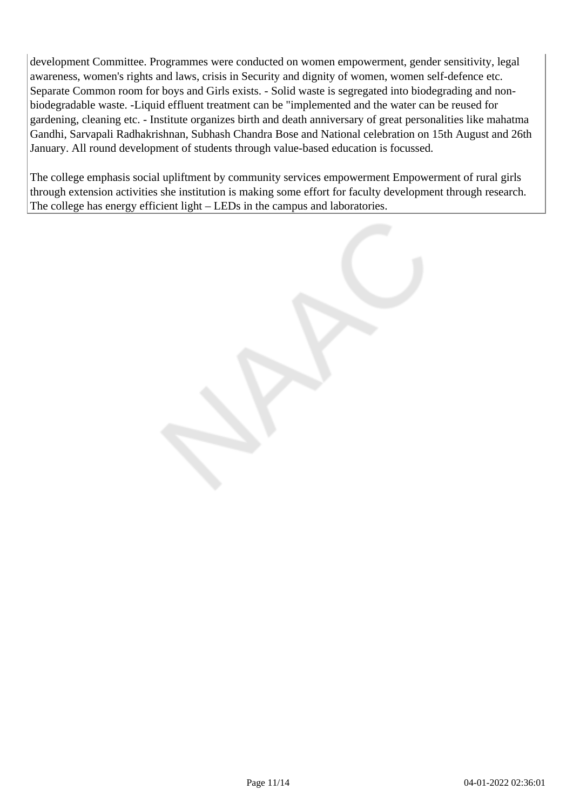development Committee. Programmes were conducted on women empowerment, gender sensitivity, legal awareness, women's rights and laws, crisis in Security and dignity of women, women self-defence etc. Separate Common room for boys and Girls exists. - Solid waste is segregated into biodegrading and nonbiodegradable waste. -Liquid effluent treatment can be "implemented and the water can be reused for gardening, cleaning etc. - Institute organizes birth and death anniversary of great personalities like mahatma Gandhi, Sarvapali Radhakrishnan, Subhash Chandra Bose and National celebration on 15th August and 26th January. All round development of students through value-based education is focussed.

The college emphasis social upliftment by community services empowerment Empowerment of rural girls through extension activities she institution is making some effort for faculty development through research. The college has energy efficient light – LEDs in the campus and laboratories.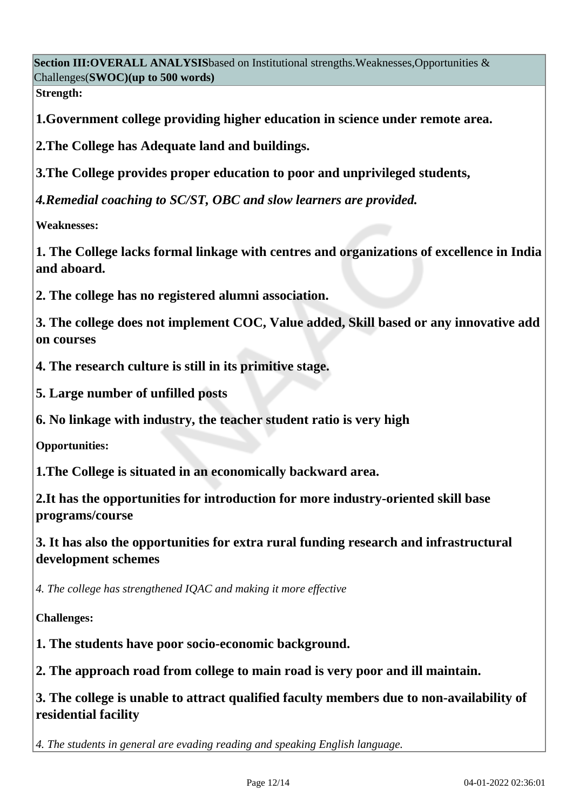**Section III:OVERALL ANALYSIS**based on Institutional strengths.Weaknesses,Opportunities & Challenges(**SWOC)(up to 500 words)**

**Strength:**

**1.Government college providing higher education in science under remote area.**

**2.The College has Adequate land and buildings.**

**3.The College provides proper education to poor and unprivileged students,**

*4.Remedial coaching to SC/ST, OBC and slow learners are provided.*

**Weaknesses:**

**1. The College lacks formal linkage with centres and organizations of excellence in India and aboard.**

**2. The college has no registered alumni association.**

**3. The college does not implement COC, Value added, Skill based or any innovative add on courses**

**4. The research culture is still in its primitive stage.**

**5. Large number of unfilled posts**

**6. No linkage with industry, the teacher student ratio is very high**

**Opportunities:**

**1.The College is situated in an economically backward area.**

**2.It has the opportunities for introduction for more industry-oriented skill base programs/course**

**3. It has also the opportunities for extra rural funding research and infrastructural development schemes**

*4. The college has strengthened IQAC and making it more effective*

**Challenges:**

**1. The students have poor socio-economic background.**

**2. The approach road from college to main road is very poor and ill maintain.**

**3. The college is unable to attract qualified faculty members due to non-availability of residential facility** 

*4. The students in general are evading reading and speaking English language.*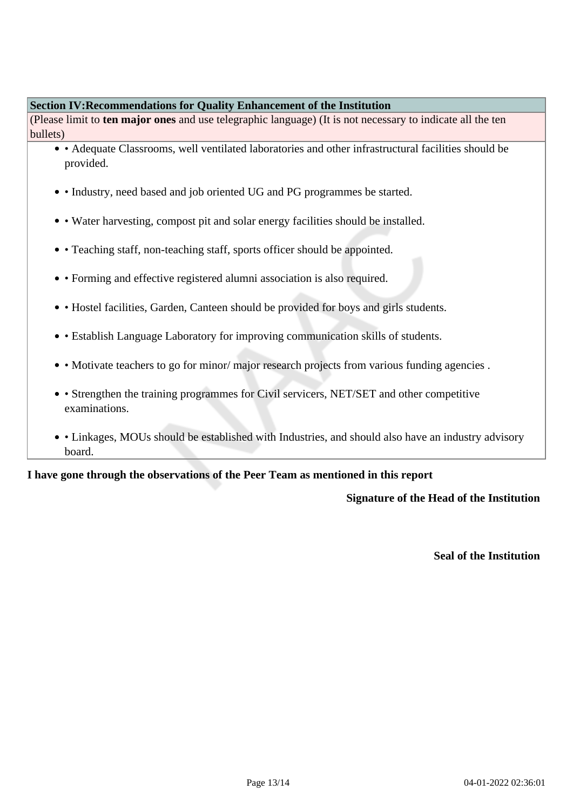#### **Section IV:Recommendations for Quality Enhancement of the Institution**

(Please limit to **ten major ones** and use telegraphic language) (It is not necessary to indicate all the ten bullets)

- Adequate Classrooms, well ventilated laboratories and other infrastructural facilities should be provided.
- Industry, need based and job oriented UG and PG programmes be started.
- Water harvesting, compost pit and solar energy facilities should be installed.
- Teaching staff, non-teaching staff, sports officer should be appointed.
- Forming and effective registered alumni association is also required.
- Hostel facilities, Garden, Canteen should be provided for boys and girls students.
- Establish Language Laboratory for improving communication skills of students.
- Motivate teachers to go for minor/major research projects from various funding agencies.
- Strengthen the training programmes for Civil servicers, NET/SET and other competitive examinations.
- Linkages, MOUs should be established with Industries, and should also have an industry advisory board.

#### **I have gone through the observations of the Peer Team as mentioned in this report**

### **Signature of the Head of the Institution**

**Seal of the Institution**